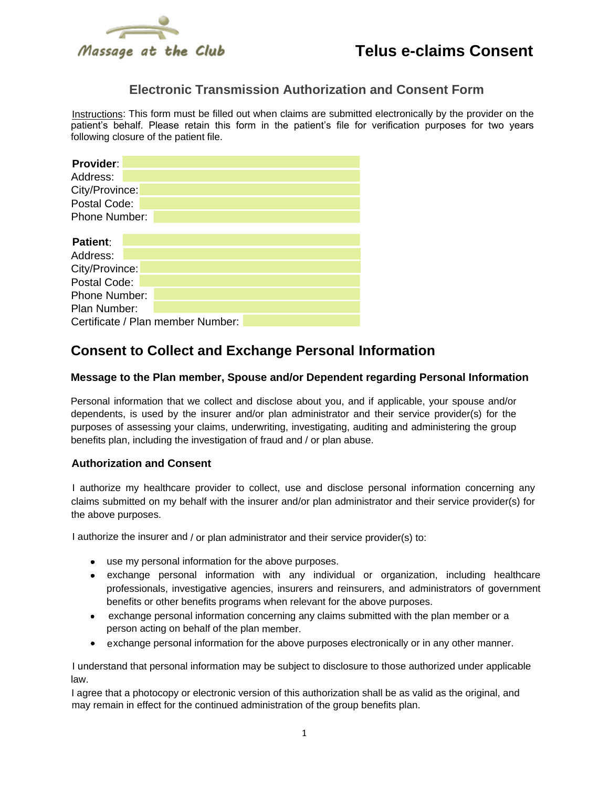

### **Electronic Transmission Authorization and Consent Form**

Instructions: This form must be filled out when claims are submitted electronically by the provider on the patient's behalf. Please retain this form in the patient's file for verification purposes for two years following closure of the patient file.

| Provider:                         |  |  |  |  |  |  |
|-----------------------------------|--|--|--|--|--|--|
| Address:                          |  |  |  |  |  |  |
| City/Province:                    |  |  |  |  |  |  |
| Postal Code:                      |  |  |  |  |  |  |
| Phone Number:                     |  |  |  |  |  |  |
|                                   |  |  |  |  |  |  |
| <b>Patient:</b>                   |  |  |  |  |  |  |
| Address:                          |  |  |  |  |  |  |
| City/Province:                    |  |  |  |  |  |  |
| Postal Code:                      |  |  |  |  |  |  |
| <b>Phone Number:</b>              |  |  |  |  |  |  |
| Plan Number:                      |  |  |  |  |  |  |
| Certificate / Plan member Number: |  |  |  |  |  |  |

## **Consent to Collect and Exchange Personal Information**

### **Message to the Plan member, Spouse and/or Dependent regarding Personal Information**

Personal information that we collect and disclose about you, and if applicable, your spouse and/or dependents, is used by the insurer and/or plan administrator and their service provider(s) for the purposes of assessing your claims, underwriting, investigating, auditing and administering the group benefits plan, including the investigation of fraud and / or plan abuse.

#### **Authorization and Consent**

I authorize my healthcare provider to collect, use and disclose personal information concerning any claims submitted on my behalf with the insurer and/or plan administrator and their service provider(s) for the above purposes.

I authorize the insurer and / or plan administrator and their service provider(s) to:

- use my personal information for the above purposes.
- exchange personal information with any individual or organization, including healthcare professionals, investigative agencies, insurers and reinsurers, and administrators of government benefits or other benefits programs when relevant for the above purposes.
- exchange personal information concerning any claims submitted with the plan member or a person acting on behalf of the plan member.
- exchange personal information for the above purposes electronically or in any other manner.

I understand that personal information may be subject to disclosure to those authorized under applicable law.

I agree that a photocopy or electronic version of this authorization shall be as valid as the original, and may remain in effect for the continued administration of the group benefits plan.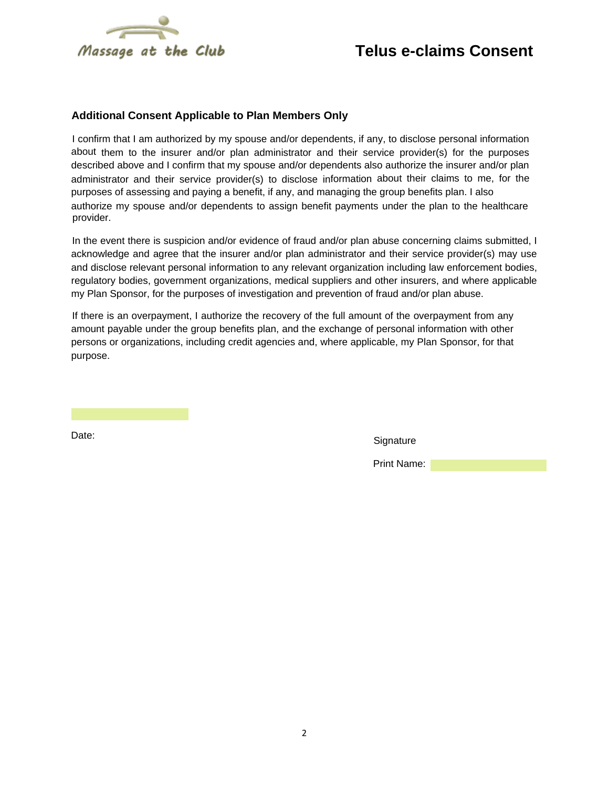

## **Telus e-claims Consent**

#### **Additional Consent Applicable to Plan Members Only**

I confirm that I am authorized by my spouse and/or dependents, if any, to disclose personal information about them to the insurer and/or plan administrator and their service provider(s) for the purposes described above and I confirm that my spouse and/or dependents also authorize the insurer and/or plan administrator and their service provider(s) to disclose information about their claims to me, for the purposes of assessing and paying a benefit, if any, and managing the group benefits plan. I also authorize my spouse and/or dependents to assign benefit payments under the plan to the healthcare provider.

In the event there is suspicion and/or evidence of fraud and/or plan abuse concerning claims submitted, I acknowledge and agree that the insurer and/or plan administrator and their service provider(s) may use and disclose relevant personal information to any relevant organization including law enforcement bodies, regulatory bodies, government organizations, medical suppliers and other insurers, and where applicable my Plan Sponsor, for the purposes of investigation and prevention of fraud and/or plan abuse.

If there is an overpayment, I authorize the recovery of the full amount of the overpayment from any amount payable under the group benefits plan, and the exchange of personal information with other persons or organizations, including credit agencies and, where applicable, my Plan Sponsor, for that purpose.

Date: Signature Contract Contract Contract Contract Contract Contract Contract Contract Contract Contract Contract Contract Contract Contract Contract Contract Contract Contract Contract Contract Contract Contract Contract

Print Name: